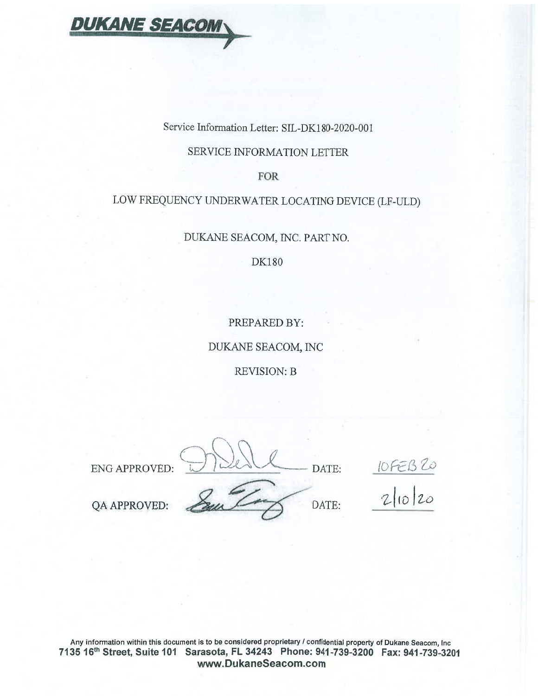

Service Information Letter: SIL-DK180-2020-001

### SERVICE INFORMATION LETTER

**FOR** 

## LOW FREQUENCY UNDERWATER LOCATING DEVICE (LF-ULD)

DUKANE SEACOM, INC. PART NO.

**DK180** 

PREPARED BY:

DUKANE SEACOM, INC

**REVISION: B** 

ENG APPROVED:

DATE:

 $\frac{1066820}{21020}$ 

DATE:

QA APPROVED:

Any information within this document is to be considered proprietary / confidential property of Dukane Seacom, Inc 7135 16th Street, Suite 101 Sarasota, FL 34243 Phone: 941-739-3200 Fax: 941-739-3201 www.DukaneSeacom.com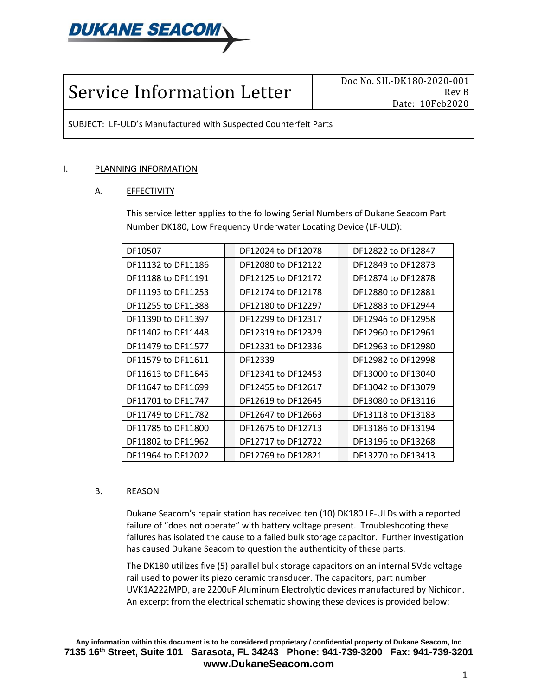

# Service Information Letter

Doc No. SIL-DK180-2020-001 Rev B Date: 10Feb2020

SUBJECT: LF-ULD's Manufactured with Suspected Counterfeit Parts

#### I. PLANNING INFORMATION

#### A. EFFECTIVITY

This service letter applies to the following Serial Numbers of Dukane Seacom Part Number DK180, Low Frequency Underwater Locating Device (LF-ULD):

| DF10507            | DF12024 to DF12078 | DF12822 to DF12847 |
|--------------------|--------------------|--------------------|
| DF11132 to DF11186 | DF12080 to DF12122 | DF12849 to DF12873 |
| DF11188 to DF11191 | DF12125 to DF12172 | DF12874 to DF12878 |
| DF11193 to DF11253 | DF12174 to DF12178 | DF12880 to DF12881 |
| DF11255 to DF11388 | DF12180 to DF12297 | DF12883 to DF12944 |
| DF11390 to DF11397 | DF12299 to DF12317 | DF12946 to DF12958 |
| DF11402 to DF11448 | DF12319 to DF12329 | DF12960 to DF12961 |
| DF11479 to DF11577 | DF12331 to DF12336 | DF12963 to DF12980 |
| DF11579 to DF11611 | DF12339            | DF12982 to DF12998 |
| DF11613 to DF11645 | DF12341 to DF12453 | DF13000 to DF13040 |
| DF11647 to DF11699 | DF12455 to DF12617 | DF13042 to DF13079 |
| DF11701 to DF11747 | DF12619 to DF12645 | DF13080 to DF13116 |
| DF11749 to DF11782 | DF12647 to DF12663 | DF13118 to DF13183 |
| DF11785 to DF11800 | DF12675 to DF12713 | DF13186 to DF13194 |
| DF11802 to DF11962 | DF12717 to DF12722 | DF13196 to DF13268 |
| DF11964 to DF12022 | DF12769 to DF12821 | DF13270 to DF13413 |

#### B. REASON

Dukane Seacom's repair station has received ten (10) DK180 LF-ULDs with a reported failure of "does not operate" with battery voltage present. Troubleshooting these failures has isolated the cause to a failed bulk storage capacitor. Further investigation has caused Dukane Seacom to question the authenticity of these parts.

The DK180 utilizes five (5) parallel bulk storage capacitors on an internal 5Vdc voltage rail used to power its piezo ceramic transducer. The capacitors, part number UVK1A222MPD, are 2200uF Aluminum Electrolytic devices manufactured by Nichicon. An excerpt from the electrical schematic showing these devices is provided below: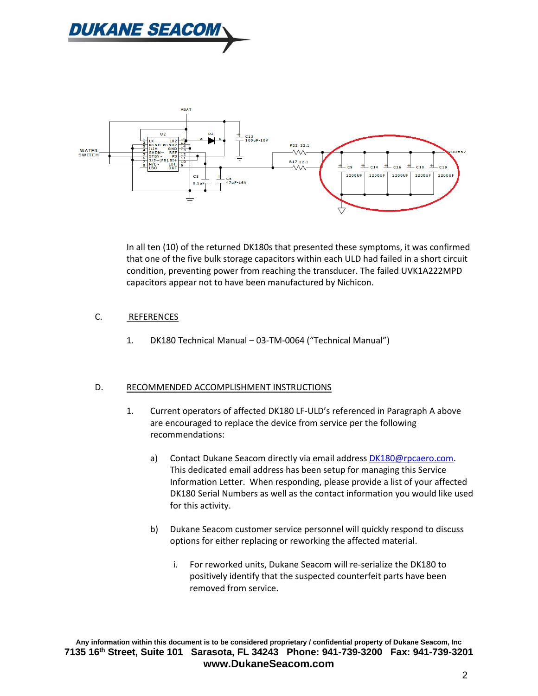



In all ten (10) of the returned DK180s that presented these symptoms, it was confirmed that one of the five bulk storage capacitors within each ULD had failed in a short circuit condition, preventing power from reaching the transducer. The failed UVK1A222MPD capacitors appear not to have been manufactured by Nichicon.

#### C. REFERENCES

1. DK180 Technical Manual – 03-TM-0064 ("Technical Manual")

#### D. RECOMMENDED ACCOMPLISHMENT INSTRUCTIONS

- 1. Current operators of affected DK180 LF-ULD's referenced in Paragraph A above are encouraged to replace the device from service per the following recommendations:
	- a) Contact Dukane Seacom directly via email address [DK180@rpcaero.com.](mailto:DK180@rpcaero.com) This dedicated email address has been setup for managing this Service Information Letter. When responding, please provide a list of your affected DK180 Serial Numbers as well as the contact information you would like used for this activity.
	- b) Dukane Seacom customer service personnel will quickly respond to discuss options for either replacing or reworking the affected material.
		- i. For reworked units, Dukane Seacom will re-serialize the DK180 to positively identify that the suspected counterfeit parts have been removed from service.